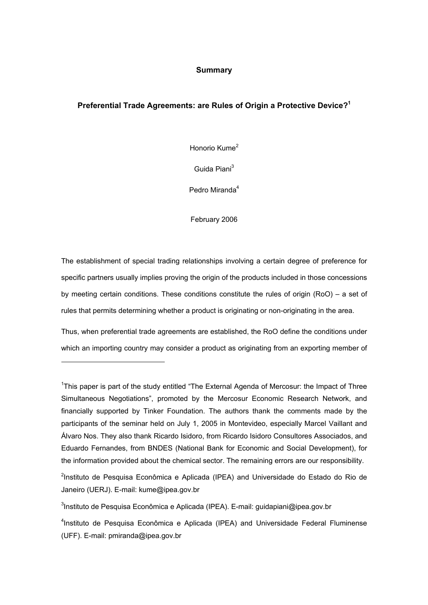## **Summary**

## **Preferential Trade Agreements: are Rules of Origin a Protective Device?1**

Honorio Kume<sup>2</sup>

Guida Piani<sup>3</sup>

Pedro Miranda<sup>4</sup>

February 2006

The establishment of special trading relationships involving a certain degree of preference for specific partners usually implies proving the origin of the products included in those concessions by meeting certain conditions. These conditions constitute the rules of origin (RoO) – a set of rules that permits determining whether a product is originating or non-originating in the area.

Thus, when preferential trade agreements are established, the RoO define the conditions under which an importing country may consider a product as originating from an exporting member of

l

<sup>1</sup>This paper is part of the study entitled "The External Agenda of Mercosur: the Impact of Three Simultaneous Negotiations", promoted by the Mercosur Economic Research Network, and financially supported by Tinker Foundation. The authors thank the comments made by the participants of the seminar held on July 1, 2005 in Montevideo, especially Marcel Vaillant and Álvaro Nos. They also thank Ricardo Isidoro, from Ricardo Isidoro Consultores Associados, and Eduardo Fernandes, from BNDES (National Bank for Economic and Social Development), for the information provided about the chemical sector. The remaining errors are our responsibility.

<sup>2</sup>Instituto de Pesquisa Econômica e Aplicada (IPEA) and Universidade do Estado do Rio de Janeiro (UERJ). E-mail: kume@ipea.gov.br

<sup>3</sup>Instituto de Pesquisa Econômica e Aplicada (IPEA). E-mail: guidapiani@ipea.gov.br

<sup>4</sup>Instituto de Pesquisa Econômica e Aplicada (IPEA) and Universidade Federal Fluminense (UFF). E-mail: pmiranda@ipea.gov.br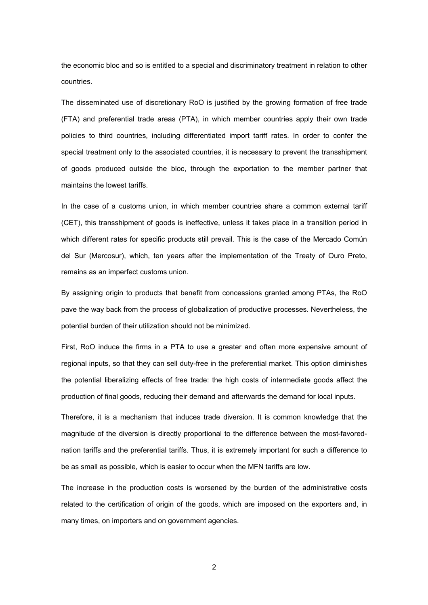the economic bloc and so is entitled to a special and discriminatory treatment in relation to other countries.

The disseminated use of discretionary RoO is justified by the growing formation of free trade (FTA) and preferential trade areas (PTA), in which member countries apply their own trade policies to third countries, including differentiated import tariff rates. In order to confer the special treatment only to the associated countries, it is necessary to prevent the transshipment of goods produced outside the bloc, through the exportation to the member partner that maintains the lowest tariffs.

In the case of a customs union, in which member countries share a common external tariff (CET), this transshipment of goods is ineffective, unless it takes place in a transition period in which different rates for specific products still prevail. This is the case of the Mercado Común del Sur (Mercosur), which, ten years after the implementation of the Treaty of Ouro Preto, remains as an imperfect customs union.

By assigning origin to products that benefit from concessions granted among PTAs, the RoO pave the way back from the process of globalization of productive processes. Nevertheless, the potential burden of their utilization should not be minimized.

First, RoO induce the firms in a PTA to use a greater and often more expensive amount of regional inputs, so that they can sell duty-free in the preferential market. This option diminishes the potential liberalizing effects of free trade: the high costs of intermediate goods affect the production of final goods, reducing their demand and afterwards the demand for local inputs.

Therefore, it is a mechanism that induces trade diversion. It is common knowledge that the magnitude of the diversion is directly proportional to the difference between the most-favorednation tariffs and the preferential tariffs. Thus, it is extremely important for such a difference to be as small as possible, which is easier to occur when the MFN tariffs are low.

The increase in the production costs is worsened by the burden of the administrative costs related to the certification of origin of the goods, which are imposed on the exporters and, in many times, on importers and on government agencies.

2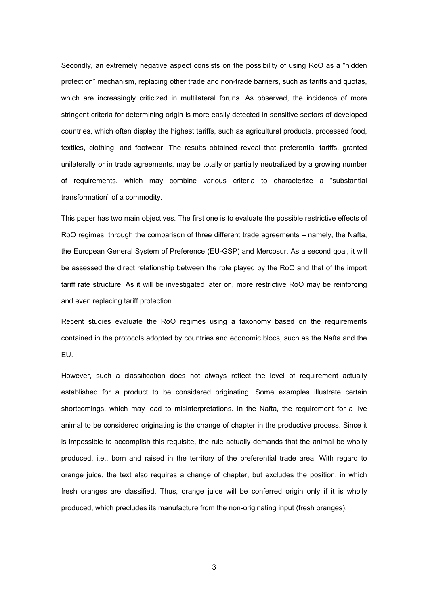Secondly, an extremely negative aspect consists on the possibility of using RoO as a "hidden protection" mechanism, replacing other trade and non-trade barriers, such as tariffs and quotas, which are increasingly criticized in multilateral foruns. As observed, the incidence of more stringent criteria for determining origin is more easily detected in sensitive sectors of developed countries, which often display the highest tariffs, such as agricultural products, processed food, textiles, clothing, and footwear. The results obtained reveal that preferential tariffs, granted unilaterally or in trade agreements, may be totally or partially neutralized by a growing number of requirements, which may combine various criteria to characterize a "substantial transformation" of a commodity.

This paper has two main objectives. The first one is to evaluate the possible restrictive effects of RoO regimes, through the comparison of three different trade agreements – namely, the Nafta, the European General System of Preference (EU-GSP) and Mercosur. As a second goal, it will be assessed the direct relationship between the role played by the RoO and that of the import tariff rate structure. As it will be investigated later on, more restrictive RoO may be reinforcing and even replacing tariff protection.

Recent studies evaluate the RoO regimes using a taxonomy based on the requirements contained in the protocols adopted by countries and economic blocs, such as the Nafta and the EU.

However, such a classification does not always reflect the level of requirement actually established for a product to be considered originating. Some examples illustrate certain shortcomings, which may lead to misinterpretations. In the Nafta, the requirement for a live animal to be considered originating is the change of chapter in the productive process. Since it is impossible to accomplish this requisite, the rule actually demands that the animal be wholly produced, i.e., born and raised in the territory of the preferential trade area. With regard to orange juice, the text also requires a change of chapter, but excludes the position, in which fresh oranges are classified. Thus, orange juice will be conferred origin only if it is wholly produced, which precludes its manufacture from the non-originating input (fresh oranges).

3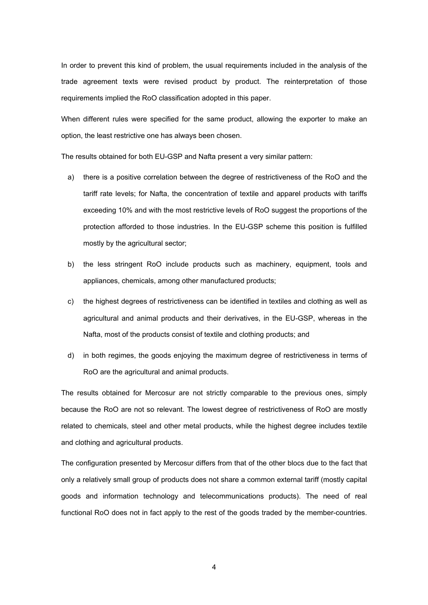In order to prevent this kind of problem, the usual requirements included in the analysis of the trade agreement texts were revised product by product. The reinterpretation of those requirements implied the RoO classification adopted in this paper.

When different rules were specified for the same product, allowing the exporter to make an option, the least restrictive one has always been chosen.

The results obtained for both EU-GSP and Nafta present a very similar pattern:

- a) there is a positive correlation between the degree of restrictiveness of the RoO and the tariff rate levels; for Nafta, the concentration of textile and apparel products with tariffs exceeding 10% and with the most restrictive levels of RoO suggest the proportions of the protection afforded to those industries. In the EU-GSP scheme this position is fulfilled mostly by the agricultural sector;
- b) the less stringent RoO include products such as machinery, equipment, tools and appliances, chemicals, among other manufactured products;
- c) the highest degrees of restrictiveness can be identified in textiles and clothing as well as agricultural and animal products and their derivatives, in the EU-GSP, whereas in the Nafta, most of the products consist of textile and clothing products; and
- d) in both regimes, the goods enjoying the maximum degree of restrictiveness in terms of RoO are the agricultural and animal products.

The results obtained for Mercosur are not strictly comparable to the previous ones, simply because the RoO are not so relevant. The lowest degree of restrictiveness of RoO are mostly related to chemicals, steel and other metal products, while the highest degree includes textile and clothing and agricultural products.

The configuration presented by Mercosur differs from that of the other blocs due to the fact that only a relatively small group of products does not share a common external tariff (mostly capital goods and information technology and telecommunications products). The need of real functional RoO does not in fact apply to the rest of the goods traded by the member-countries.

4